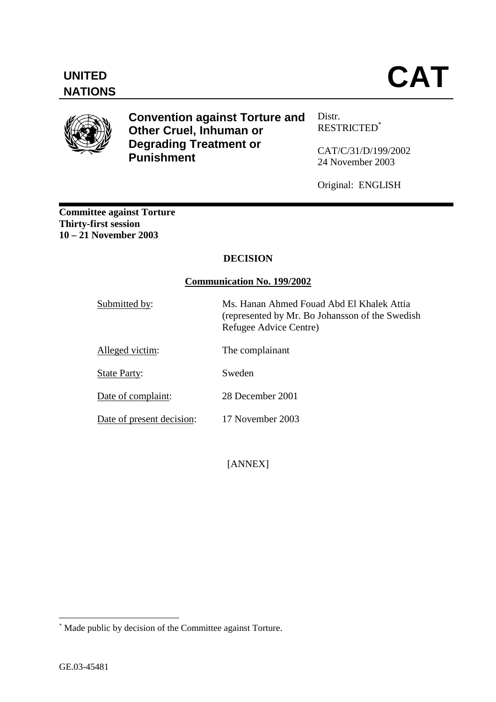

**Convention against Torture and Other Cruel, Inhuman or Degrading Treatment or Punishment** 

Distr. RESTRICTED\*

CAT/C/31/D/199/2002 24 November 2003

Original: ENGLISH

**Committee against Torture Thirty-first session 10 – 21 November 2003** 

# **DECISION**

### **Communication No. 199/2002**

| Submitted by:             | Ms. Hanan Ahmed Fouad Abd El Khalek Attia<br>(represented by Mr. Bo Johansson of the Swedish)<br>Refugee Advice Centre) |
|---------------------------|-------------------------------------------------------------------------------------------------------------------------|
| Alleged victim:           | The complainant                                                                                                         |
| <b>State Party:</b>       | Sweden                                                                                                                  |
| Date of complaint:        | 28 December 2001                                                                                                        |
| Date of present decision: | 17 November 2003                                                                                                        |

[ANNEX]

 $\overline{a}$ 

<sup>\*</sup> Made public by decision of the Committee against Torture.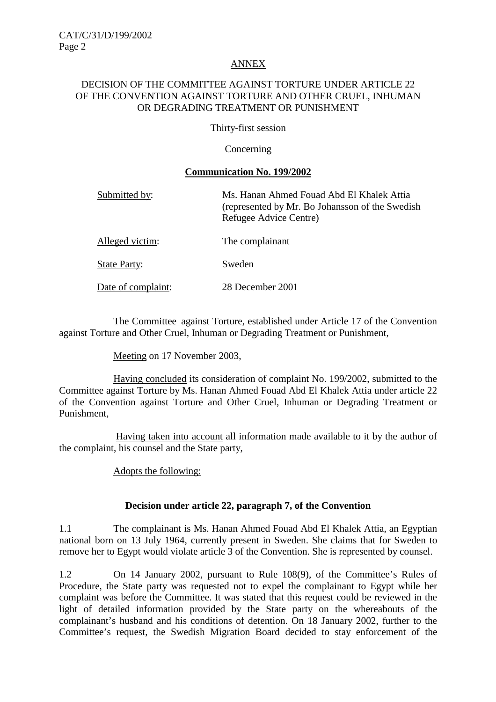### ANNEX

#### DECISION OF THE COMMITTEE AGAINST TORTURE UNDER ARTICLE 22 OF THE CONVENTION AGAINST TORTURE AND OTHER CRUEL, INHUMAN OR DEGRADING TREATMENT OR PUNISHMENT

Thirty-first session

### **Concerning**

#### **Communication No. 199/2002**

| Submitted by:       | Ms. Hanan Ahmed Fouad Abd El Khalek Attia<br>(represented by Mr. Bo Johansson of the Swedish<br>Refugee Advice Centre) |
|---------------------|------------------------------------------------------------------------------------------------------------------------|
| Alleged victim:     | The complainant                                                                                                        |
| <b>State Party:</b> | Sweden                                                                                                                 |
| Date of complaint:  | 28 December 2001                                                                                                       |

 The Committee against Torture, established under Article 17 of the Convention against Torture and Other Cruel, Inhuman or Degrading Treatment or Punishment,

Meeting on 17 November 2003,

 Having concluded its consideration of complaint No. 199/2002, submitted to the Committee against Torture by Ms. Hanan Ahmed Fouad Abd El Khalek Attia under article 22 of the Convention against Torture and Other Cruel, Inhuman or Degrading Treatment or Punishment,

 Having taken into account all information made available to it by the author of the complaint, his counsel and the State party,

Adopts the following:

# **Decision under article 22, paragraph 7, of the Convention**

1.1 The complainant is Ms. Hanan Ahmed Fouad Abd El Khalek Attia, an Egyptian national born on 13 July 1964, currently present in Sweden. She claims that for Sweden to remove her to Egypt would violate article 3 of the Convention. She is represented by counsel.

1.2 On 14 January 2002, pursuant to Rule 108(9), of the Committee's Rules of Procedure, the State party was requested not to expel the complainant to Egypt while her complaint was before the Committee. It was stated that this request could be reviewed in the light of detailed information provided by the State party on the whereabouts of the complainant's husband and his conditions of detention. On 18 January 2002, further to the Committee's request, the Swedish Migration Board decided to stay enforcement of the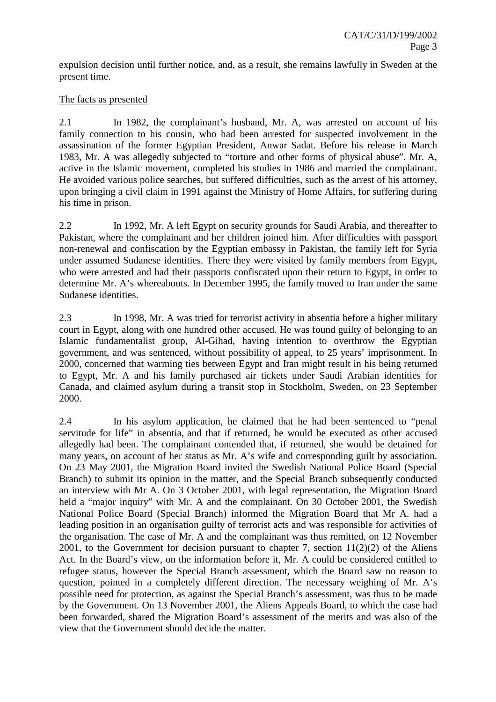expulsion decision until further notice, and, as a result, she remains lawfully in Sweden at the present time.

## The facts as presented

2.1 In 1982, the complainant's husband, Mr. A, was arrested on account of his family connection to his cousin, who had been arrested for suspected involvement in the assassination of the former Egyptian President, Anwar Sadat. Before his release in March 1983, Mr. A was allegedly subjected to "torture and other forms of physical abuse". Mr. A, active in the Islamic movement, completed his studies in 1986 and married the complainant. He avoided various police searches, but suffered difficulties, such as the arrest of his attorney, upon bringing a civil claim in 1991 against the Ministry of Home Affairs, for suffering during his time in prison.

2.2 In 1992, Mr. A left Egypt on security grounds for Saudi Arabia, and thereafter to Pakistan, where the complainant and her children joined him. After difficulties with passport non-renewal and confiscation by the Egyptian embassy in Pakistan, the family left for Syria under assumed Sudanese identities. There they were visited by family members from Egypt, who were arrested and had their passports confiscated upon their return to Egypt, in order to determine Mr. A's whereabouts. In December 1995, the family moved to Iran under the same Sudanese identities.

2.3 In 1998, Mr. A was tried for terrorist activity in absentia before a higher military court in Egypt, along with one hundred other accused. He was found guilty of belonging to an Islamic fundamentalist group, Al-Gihad, having intention to overthrow the Egyptian government, and was sentenced, without possibility of appeal, to 25 years' imprisonment. In 2000, concerned that warming ties between Egypt and Iran might result in his being returned to Egypt, Mr. A and his family purchased air tickets under Saudi Arabian identities for Canada, and claimed asylum during a transit stop in Stockholm, Sweden, on 23 September 2000.

2.4 In his asylum application, he claimed that he had been sentenced to "penal servitude for life" in absentia, and that if returned, he would be executed as other accused allegedly had been. The complainant contended that, if returned, she would be detained for many years, on account of her status as Mr. A's wife and corresponding guilt by association. On 23 May 2001, the Migration Board invited the Swedish National Police Board (Special Branch) to submit its opinion in the matter, and the Special Branch subsequently conducted an interview with Mr A. On 3 October 2001, with legal representation, the Migration Board held a "major inquiry" with Mr. A and the complainant. On 30 October 2001, the Swedish National Police Board (Special Branch) informed the Migration Board that Mr A. had a leading position in an organisation guilty of terrorist acts and was responsible for activities of the organisation. The case of Mr. A and the complainant was thus remitted, on 12 November 2001, to the Government for decision pursuant to chapter 7, section  $11(2)(2)$  of the Aliens Act. In the Board's view, on the information before it, Mr. A could be considered entitled to refugee status, however the Special Branch assessment, which the Board saw no reason to question, pointed in a completely different direction. The necessary weighing of Mr. A's possible need for protection, as against the Special Branch's assessment, was thus to be made by the Government. On 13 November 2001, the Aliens Appeals Board, to which the case had been forwarded, shared the Migration Board's assessment of the merits and was also of the view that the Government should decide the matter.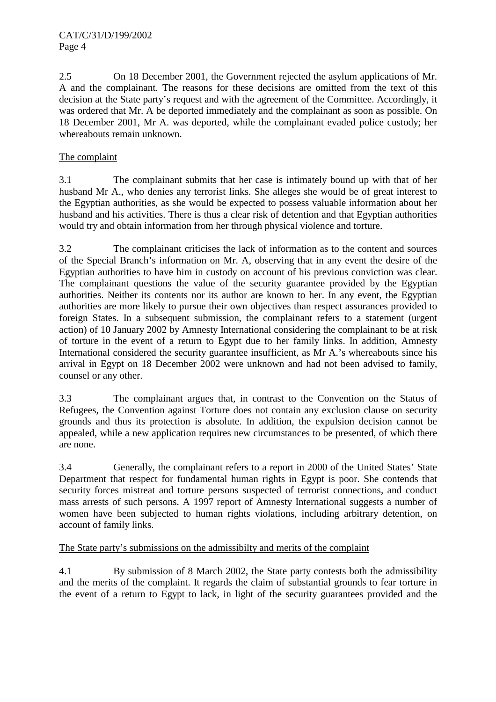2.5 On 18 December 2001, the Government rejected the asylum applications of Mr. A and the complainant. The reasons for these decisions are omitted from the text of this decision at the State party's request and with the agreement of the Committee. Accordingly, it was ordered that Mr. A be deported immediately and the complainant as soon as possible. On 18 December 2001, Mr A. was deported, while the complainant evaded police custody; her whereabouts remain unknown.

# The complaint

3.1 The complainant submits that her case is intimately bound up with that of her husband Mr A., who denies any terrorist links. She alleges she would be of great interest to the Egyptian authorities, as she would be expected to possess valuable information about her husband and his activities. There is thus a clear risk of detention and that Egyptian authorities would try and obtain information from her through physical violence and torture.

3.2 The complainant criticises the lack of information as to the content and sources of the Special Branch's information on Mr. A, observing that in any event the desire of the Egyptian authorities to have him in custody on account of his previous conviction was clear. The complainant questions the value of the security guarantee provided by the Egyptian authorities. Neither its contents nor its author are known to her. In any event, the Egyptian authorities are more likely to pursue their own objectives than respect assurances provided to foreign States. In a subsequent submission, the complainant refers to a statement (urgent action) of 10 January 2002 by Amnesty International considering the complainant to be at risk of torture in the event of a return to Egypt due to her family links. In addition, Amnesty International considered the security guarantee insufficient, as Mr A.'s whereabouts since his arrival in Egypt on 18 December 2002 were unknown and had not been advised to family, counsel or any other.

3.3 The complainant argues that, in contrast to the Convention on the Status of Refugees, the Convention against Torture does not contain any exclusion clause on security grounds and thus its protection is absolute. In addition, the expulsion decision cannot be appealed, while a new application requires new circumstances to be presented, of which there are none.

3.4 Generally, the complainant refers to a report in 2000 of the United States' State Department that respect for fundamental human rights in Egypt is poor. She contends that security forces mistreat and torture persons suspected of terrorist connections, and conduct mass arrests of such persons. A 1997 report of Amnesty International suggests a number of women have been subjected to human rights violations, including arbitrary detention, on account of family links.

# The State party's submissions on the admissibilty and merits of the complaint

4.1 By submission of 8 March 2002, the State party contests both the admissibility and the merits of the complaint. It regards the claim of substantial grounds to fear torture in the event of a return to Egypt to lack, in light of the security guarantees provided and the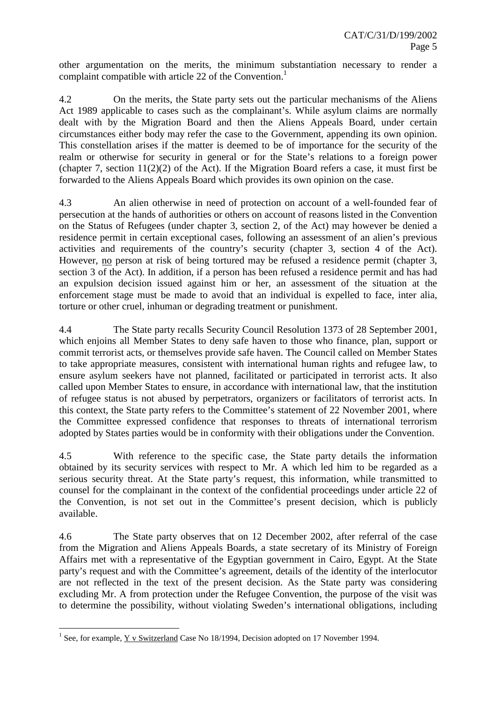other argumentation on the merits, the minimum substantiation necessary to render a complaint compatible with article 22 of the Convention.<sup>1</sup>

4.2 On the merits, the State party sets out the particular mechanisms of the Aliens Act 1989 applicable to cases such as the complainant's. While asylum claims are normally dealt with by the Migration Board and then the Aliens Appeals Board, under certain circumstances either body may refer the case to the Government, appending its own opinion. This constellation arises if the matter is deemed to be of importance for the security of the realm or otherwise for security in general or for the State's relations to a foreign power (chapter 7, section 11(2)(2) of the Act). If the Migration Board refers a case, it must first be forwarded to the Aliens Appeals Board which provides its own opinion on the case.

4.3 An alien otherwise in need of protection on account of a well-founded fear of persecution at the hands of authorities or others on account of reasons listed in the Convention on the Status of Refugees (under chapter 3, section 2, of the Act) may however be denied a residence permit in certain exceptional cases, following an assessment of an alien's previous activities and requirements of the country's security (chapter 3, section 4 of the Act). However, no person at risk of being tortured may be refused a residence permit (chapter 3, section 3 of the Act). In addition, if a person has been refused a residence permit and has had an expulsion decision issued against him or her, an assessment of the situation at the enforcement stage must be made to avoid that an individual is expelled to face, inter alia, torture or other cruel, inhuman or degrading treatment or punishment.

4.4 The State party recalls Security Council Resolution 1373 of 28 September 2001, which enjoins all Member States to deny safe haven to those who finance, plan, support or commit terrorist acts, or themselves provide safe haven. The Council called on Member States to take appropriate measures, consistent with international human rights and refugee law, to ensure asylum seekers have not planned, facilitated or participated in terrorist acts. It also called upon Member States to ensure, in accordance with international law, that the institution of refugee status is not abused by perpetrators, organizers or facilitators of terrorist acts. In this context, the State party refers to the Committee's statement of 22 November 2001, where the Committee expressed confidence that responses to threats of international terrorism adopted by States parties would be in conformity with their obligations under the Convention.

4.5 With reference to the specific case, the State party details the information obtained by its security services with respect to Mr. A which led him to be regarded as a serious security threat. At the State party's request, this information, while transmitted to counsel for the complainant in the context of the confidential proceedings under article 22 of the Convention, is not set out in the Committee's present decision, which is publicly available.

4.6 The State party observes that on 12 December 2002, after referral of the case from the Migration and Aliens Appeals Boards, a state secretary of its Ministry of Foreign Affairs met with a representative of the Egyptian government in Cairo, Egypt. At the State party's request and with the Committee's agreement, details of the identity of the interlocutor are not reflected in the text of the present decision. As the State party was considering excluding Mr. A from protection under the Refugee Convention, the purpose of the visit was to determine the possibility, without violating Sweden's international obligations, including

 $\overline{a}$ 

<sup>&</sup>lt;sup>1</sup> See, for example,  $\underline{Y}$  v Switzerland Case No 18/1994, Decision adopted on 17 November 1994.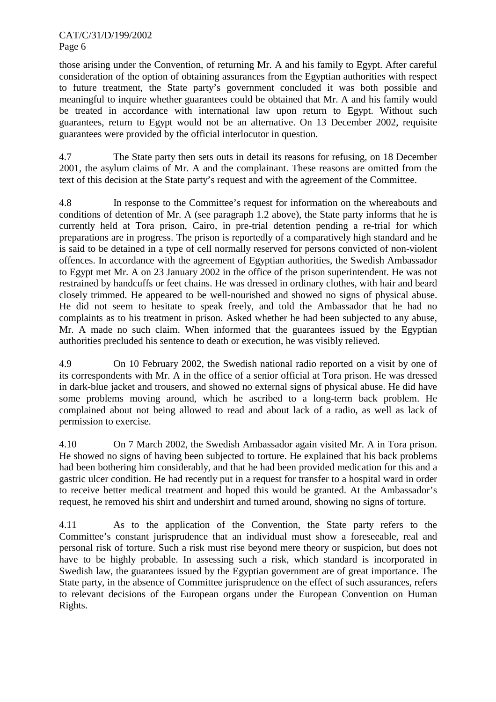those arising under the Convention, of returning Mr. A and his family to Egypt. After careful consideration of the option of obtaining assurances from the Egyptian authorities with respect to future treatment, the State party's government concluded it was both possible and meaningful to inquire whether guarantees could be obtained that Mr. A and his family would be treated in accordance with international law upon return to Egypt. Without such guarantees, return to Egypt would not be an alternative. On 13 December 2002, requisite guarantees were provided by the official interlocutor in question.

4.7 The State party then sets outs in detail its reasons for refusing, on 18 December 2001, the asylum claims of Mr. A and the complainant. These reasons are omitted from the text of this decision at the State party's request and with the agreement of the Committee.

4.8 In response to the Committee's request for information on the whereabouts and conditions of detention of Mr. A (see paragraph 1.2 above), the State party informs that he is currently held at Tora prison, Cairo, in pre-trial detention pending a re-trial for which preparations are in progress. The prison is reportedly of a comparatively high standard and he is said to be detained in a type of cell normally reserved for persons convicted of non-violent offences. In accordance with the agreement of Egyptian authorities, the Swedish Ambassador to Egypt met Mr. A on 23 January 2002 in the office of the prison superintendent. He was not restrained by handcuffs or feet chains. He was dressed in ordinary clothes, with hair and beard closely trimmed. He appeared to be well-nourished and showed no signs of physical abuse. He did not seem to hesitate to speak freely, and told the Ambassador that he had no complaints as to his treatment in prison. Asked whether he had been subjected to any abuse, Mr. A made no such claim. When informed that the guarantees issued by the Egyptian authorities precluded his sentence to death or execution, he was visibly relieved.

4.9 On 10 February 2002, the Swedish national radio reported on a visit by one of its correspondents with Mr. A in the office of a senior official at Tora prison. He was dressed in dark-blue jacket and trousers, and showed no external signs of physical abuse. He did have some problems moving around, which he ascribed to a long-term back problem. He complained about not being allowed to read and about lack of a radio, as well as lack of permission to exercise.

4.10 On 7 March 2002, the Swedish Ambassador again visited Mr. A in Tora prison. He showed no signs of having been subjected to torture. He explained that his back problems had been bothering him considerably, and that he had been provided medication for this and a gastric ulcer condition. He had recently put in a request for transfer to a hospital ward in order to receive better medical treatment and hoped this would be granted. At the Ambassador's request, he removed his shirt and undershirt and turned around, showing no signs of torture.

4.11 As to the application of the Convention, the State party refers to the Committee's constant jurisprudence that an individual must show a foreseeable, real and personal risk of torture. Such a risk must rise beyond mere theory or suspicion, but does not have to be highly probable. In assessing such a risk, which standard is incorporated in Swedish law, the guarantees issued by the Egyptian government are of great importance. The State party, in the absence of Committee jurisprudence on the effect of such assurances, refers to relevant decisions of the European organs under the European Convention on Human Rights.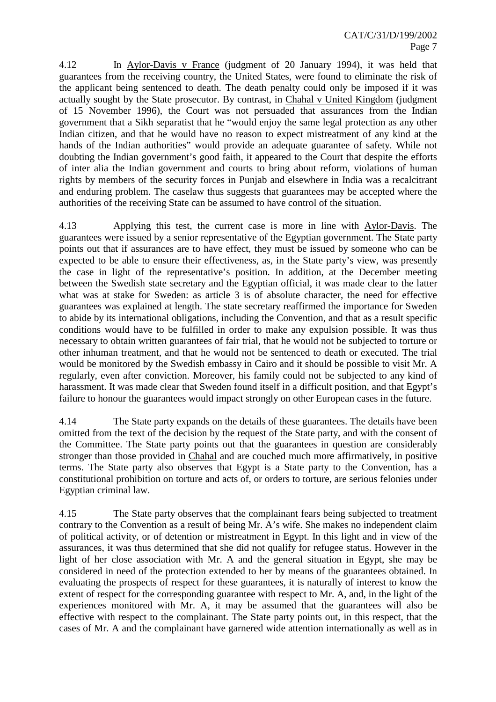4.12 In Aylor-Davis v France (judgment of 20 January 1994), it was held that guarantees from the receiving country, the United States, were found to eliminate the risk of the applicant being sentenced to death. The death penalty could only be imposed if it was actually sought by the State prosecutor. By contrast, in Chahal v United Kingdom (judgment of 15 November 1996), the Court was not persuaded that assurances from the Indian government that a Sikh separatist that he "would enjoy the same legal protection as any other Indian citizen, and that he would have no reason to expect mistreatment of any kind at the hands of the Indian authorities" would provide an adequate guarantee of safety. While not doubting the Indian government's good faith, it appeared to the Court that despite the efforts of inter alia the Indian government and courts to bring about reform, violations of human rights by members of the security forces in Punjab and elsewhere in India was a recalcitrant and enduring problem. The caselaw thus suggests that guarantees may be accepted where the authorities of the receiving State can be assumed to have control of the situation.

4.13 Applying this test, the current case is more in line with Aylor-Davis. The guarantees were issued by a senior representative of the Egyptian government. The State party points out that if assurances are to have effect, they must be issued by someone who can be expected to be able to ensure their effectiveness, as, in the State party's view, was presently the case in light of the representative's position. In addition, at the December meeting between the Swedish state secretary and the Egyptian official, it was made clear to the latter what was at stake for Sweden: as article 3 is of absolute character, the need for effective guarantees was explained at length. The state secretary reaffirmed the importance for Sweden to abide by its international obligations, including the Convention, and that as a result specific conditions would have to be fulfilled in order to make any expulsion possible. It was thus necessary to obtain written guarantees of fair trial, that he would not be subjected to torture or other inhuman treatment, and that he would not be sentenced to death or executed. The trial would be monitored by the Swedish embassy in Cairo and it should be possible to visit Mr. A regularly, even after conviction. Moreover, his family could not be subjected to any kind of harassment. It was made clear that Sweden found itself in a difficult position, and that Egypt's failure to honour the guarantees would impact strongly on other European cases in the future.

4.14 The State party expands on the details of these guarantees. The details have been omitted from the text of the decision by the request of the State party, and with the consent of the Committee. The State party points out that the guarantees in question are considerably stronger than those provided in Chahal and are couched much more affirmatively, in positive terms. The State party also observes that Egypt is a State party to the Convention, has a constitutional prohibition on torture and acts of, or orders to torture, are serious felonies under Egyptian criminal law.

4.15 The State party observes that the complainant fears being subjected to treatment contrary to the Convention as a result of being Mr. A's wife. She makes no independent claim of political activity, or of detention or mistreatment in Egypt. In this light and in view of the assurances, it was thus determined that she did not qualify for refugee status. However in the light of her close association with Mr. A and the general situation in Egypt, she may be considered in need of the protection extended to her by means of the guarantees obtained. In evaluating the prospects of respect for these guarantees, it is naturally of interest to know the extent of respect for the corresponding guarantee with respect to Mr. A, and, in the light of the experiences monitored with Mr. A, it may be assumed that the guarantees will also be effective with respect to the complainant. The State party points out, in this respect, that the cases of Mr. A and the complainant have garnered wide attention internationally as well as in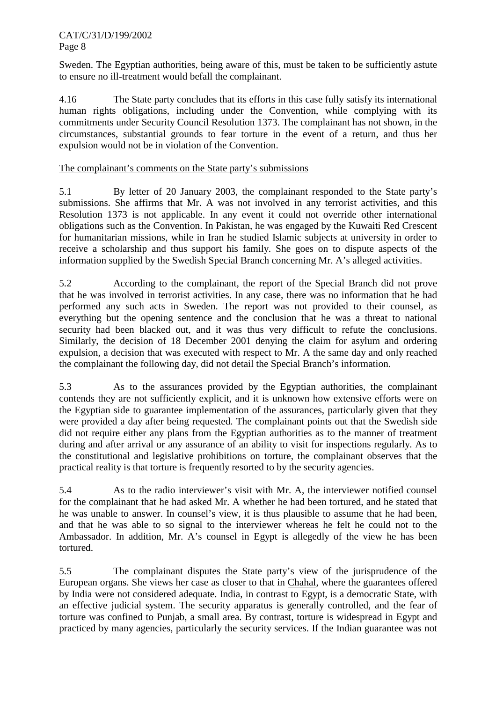Sweden. The Egyptian authorities, being aware of this, must be taken to be sufficiently astute to ensure no ill-treatment would befall the complainant.

4.16 The State party concludes that its efforts in this case fully satisfy its international human rights obligations, including under the Convention, while complying with its commitments under Security Council Resolution 1373. The complainant has not shown, in the circumstances, substantial grounds to fear torture in the event of a return, and thus her expulsion would not be in violation of the Convention.

## The complainant's comments on the State party's submissions

5.1 By letter of 20 January 2003, the complainant responded to the State party's submissions. She affirms that Mr. A was not involved in any terrorist activities, and this Resolution 1373 is not applicable. In any event it could not override other international obligations such as the Convention. In Pakistan, he was engaged by the Kuwaiti Red Crescent for humanitarian missions, while in Iran he studied Islamic subjects at university in order to receive a scholarship and thus support his family. She goes on to dispute aspects of the information supplied by the Swedish Special Branch concerning Mr. A's alleged activities.

5.2 According to the complainant, the report of the Special Branch did not prove that he was involved in terrorist activities. In any case, there was no information that he had performed any such acts in Sweden. The report was not provided to their counsel, as everything but the opening sentence and the conclusion that he was a threat to national security had been blacked out, and it was thus very difficult to refute the conclusions. Similarly, the decision of 18 December 2001 denying the claim for asylum and ordering expulsion, a decision that was executed with respect to Mr. A the same day and only reached the complainant the following day, did not detail the Special Branch's information.

5.3 As to the assurances provided by the Egyptian authorities, the complainant contends they are not sufficiently explicit, and it is unknown how extensive efforts were on the Egyptian side to guarantee implementation of the assurances, particularly given that they were provided a day after being requested. The complainant points out that the Swedish side did not require either any plans from the Egyptian authorities as to the manner of treatment during and after arrival or any assurance of an ability to visit for inspections regularly. As to the constitutional and legislative prohibitions on torture, the complainant observes that the practical reality is that torture is frequently resorted to by the security agencies.

5.4 As to the radio interviewer's visit with Mr. A, the interviewer notified counsel for the complainant that he had asked Mr. A whether he had been tortured, and he stated that he was unable to answer. In counsel's view, it is thus plausible to assume that he had been, and that he was able to so signal to the interviewer whereas he felt he could not to the Ambassador. In addition, Mr. A's counsel in Egypt is allegedly of the view he has been tortured.

5.5 The complainant disputes the State party's view of the jurisprudence of the European organs. She views her case as closer to that in Chahal, where the guarantees offered by India were not considered adequate. India, in contrast to Egypt, is a democratic State, with an effective judicial system. The security apparatus is generally controlled, and the fear of torture was confined to Punjab, a small area. By contrast, torture is widespread in Egypt and practiced by many agencies, particularly the security services. If the Indian guarantee was not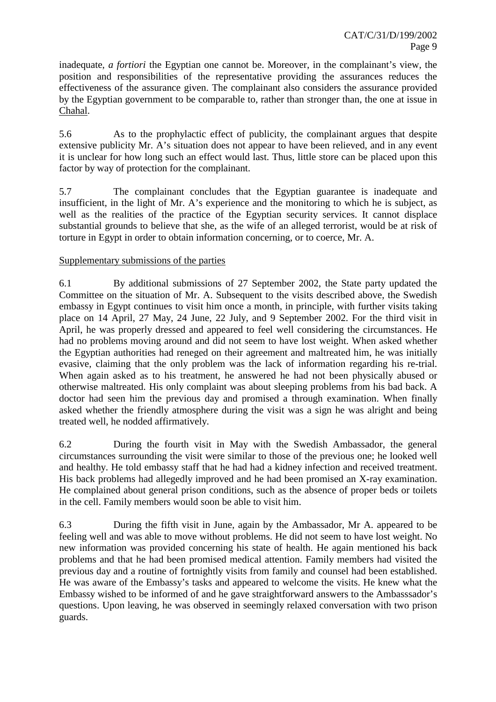inadequate, *a fortiori* the Egyptian one cannot be. Moreover, in the complainant's view, the position and responsibilities of the representative providing the assurances reduces the effectiveness of the assurance given. The complainant also considers the assurance provided by the Egyptian government to be comparable to, rather than stronger than, the one at issue in Chahal.

5.6 As to the prophylactic effect of publicity, the complainant argues that despite extensive publicity Mr. A's situation does not appear to have been relieved, and in any event it is unclear for how long such an effect would last. Thus, little store can be placed upon this factor by way of protection for the complainant.

5.7 The complainant concludes that the Egyptian guarantee is inadequate and insufficient, in the light of Mr. A's experience and the monitoring to which he is subject, as well as the realities of the practice of the Egyptian security services. It cannot displace substantial grounds to believe that she, as the wife of an alleged terrorist, would be at risk of torture in Egypt in order to obtain information concerning, or to coerce, Mr. A.

# Supplementary submissions of the parties

6.1 By additional submissions of 27 September 2002, the State party updated the Committee on the situation of Mr. A. Subsequent to the visits described above, the Swedish embassy in Egypt continues to visit him once a month, in principle, with further visits taking place on 14 April, 27 May, 24 June, 22 July, and 9 September 2002. For the third visit in April, he was properly dressed and appeared to feel well considering the circumstances. He had no problems moving around and did not seem to have lost weight. When asked whether the Egyptian authorities had reneged on their agreement and maltreated him, he was initially evasive, claiming that the only problem was the lack of information regarding his re-trial. When again asked as to his treatment, he answered he had not been physically abused or otherwise maltreated. His only complaint was about sleeping problems from his bad back. A doctor had seen him the previous day and promised a through examination. When finally asked whether the friendly atmosphere during the visit was a sign he was alright and being treated well, he nodded affirmatively.

6.2 During the fourth visit in May with the Swedish Ambassador, the general circumstances surrounding the visit were similar to those of the previous one; he looked well and healthy. He told embassy staff that he had had a kidney infection and received treatment. His back problems had allegedly improved and he had been promised an X-ray examination. He complained about general prison conditions, such as the absence of proper beds or toilets in the cell. Family members would soon be able to visit him.

6.3 During the fifth visit in June, again by the Ambassador, Mr A. appeared to be feeling well and was able to move without problems. He did not seem to have lost weight. No new information was provided concerning his state of health. He again mentioned his back problems and that he had been promised medical attention. Family members had visited the previous day and a routine of fortnightly visits from family and counsel had been established. He was aware of the Embassy's tasks and appeared to welcome the visits. He knew what the Embassy wished to be informed of and he gave straightforward answers to the Ambasssador's questions. Upon leaving, he was observed in seemingly relaxed conversation with two prison guards.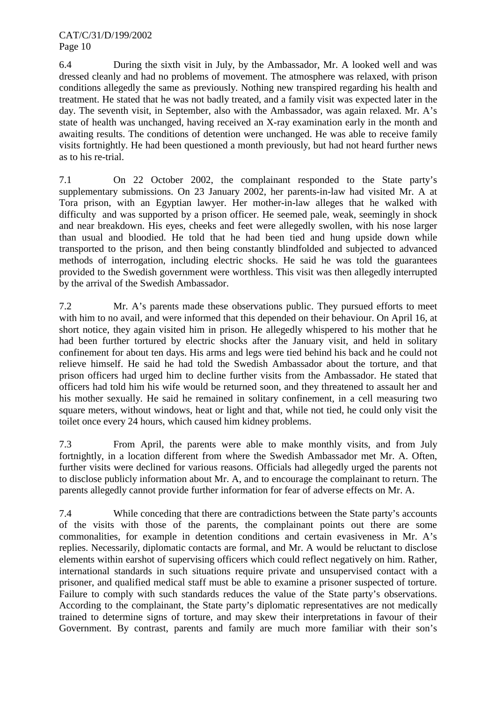6.4 During the sixth visit in July, by the Ambassador, Mr. A looked well and was dressed cleanly and had no problems of movement. The atmosphere was relaxed, with prison conditions allegedly the same as previously. Nothing new transpired regarding his health and treatment. He stated that he was not badly treated, and a family visit was expected later in the day. The seventh visit, in September, also with the Ambassador, was again relaxed. Mr. A's state of health was unchanged, having received an X-ray examination early in the month and awaiting results. The conditions of detention were unchanged. He was able to receive family visits fortnightly. He had been questioned a month previously, but had not heard further news as to his re-trial.

7.1 On 22 October 2002, the complainant responded to the State party's supplementary submissions. On 23 January 2002, her parents-in-law had visited Mr. A at Tora prison, with an Egyptian lawyer. Her mother-in-law alleges that he walked with difficulty and was supported by a prison officer. He seemed pale, weak, seemingly in shock and near breakdown. His eyes, cheeks and feet were allegedly swollen, with his nose larger than usual and bloodied. He told that he had been tied and hung upside down while transported to the prison, and then being constantly blindfolded and subjected to advanced methods of interrogation, including electric shocks. He said he was told the guarantees provided to the Swedish government were worthless. This visit was then allegedly interrupted by the arrival of the Swedish Ambassador.

7.2 Mr. A's parents made these observations public. They pursued efforts to meet with him to no avail, and were informed that this depended on their behaviour. On April 16, at short notice, they again visited him in prison. He allegedly whispered to his mother that he had been further tortured by electric shocks after the January visit, and held in solitary confinement for about ten days. His arms and legs were tied behind his back and he could not relieve himself. He said he had told the Swedish Ambassador about the torture, and that prison officers had urged him to decline further visits from the Ambassador. He stated that officers had told him his wife would be returned soon, and they threatened to assault her and his mother sexually. He said he remained in solitary confinement, in a cell measuring two square meters, without windows, heat or light and that, while not tied, he could only visit the toilet once every 24 hours, which caused him kidney problems.

7.3 From April, the parents were able to make monthly visits, and from July fortnightly, in a location different from where the Swedish Ambassador met Mr. A. Often, further visits were declined for various reasons. Officials had allegedly urged the parents not to disclose publicly information about Mr. A, and to encourage the complainant to return. The parents allegedly cannot provide further information for fear of adverse effects on Mr. A.

7.4 While conceding that there are contradictions between the State party's accounts of the visits with those of the parents, the complainant points out there are some commonalities, for example in detention conditions and certain evasiveness in Mr. A's replies. Necessarily, diplomatic contacts are formal, and Mr. A would be reluctant to disclose elements within earshot of supervising officers which could reflect negatively on him. Rather, international standards in such situations require private and unsupervised contact with a prisoner, and qualified medical staff must be able to examine a prisoner suspected of torture. Failure to comply with such standards reduces the value of the State party's observations. According to the complainant, the State party's diplomatic representatives are not medically trained to determine signs of torture, and may skew their interpretations in favour of their Government. By contrast, parents and family are much more familiar with their son's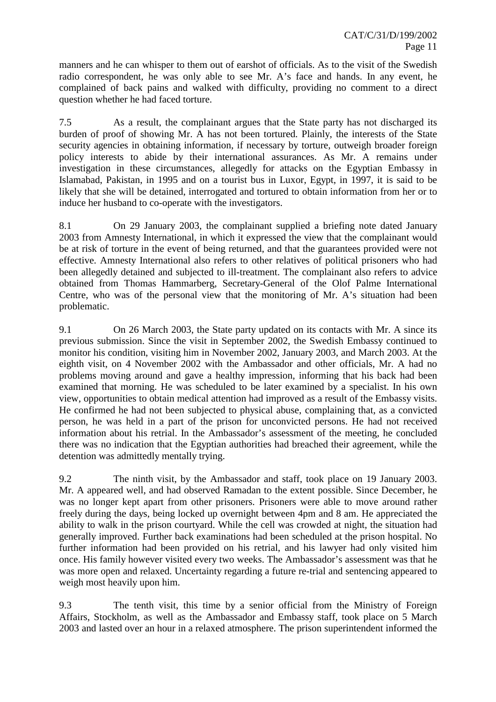manners and he can whisper to them out of earshot of officials. As to the visit of the Swedish radio correspondent, he was only able to see Mr. A's face and hands. In any event, he complained of back pains and walked with difficulty, providing no comment to a direct question whether he had faced torture.

7.5 As a result, the complainant argues that the State party has not discharged its burden of proof of showing Mr. A has not been tortured. Plainly, the interests of the State security agencies in obtaining information, if necessary by torture, outweigh broader foreign policy interests to abide by their international assurances. As Mr. A remains under investigation in these circumstances, allegedly for attacks on the Egyptian Embassy in Islamabad, Pakistan, in 1995 and on a tourist bus in Luxor, Egypt, in 1997, it is said to be likely that she will be detained, interrogated and tortured to obtain information from her or to induce her husband to co-operate with the investigators.

8.1 On 29 January 2003, the complainant supplied a briefing note dated January 2003 from Amnesty International, in which it expressed the view that the complainant would be at risk of torture in the event of being returned, and that the guarantees provided were not effective. Amnesty International also refers to other relatives of political prisoners who had been allegedly detained and subjected to ill-treatment. The complainant also refers to advice obtained from Thomas Hammarberg, Secretary-General of the Olof Palme International Centre, who was of the personal view that the monitoring of Mr. A's situation had been problematic.

9.1 On 26 March 2003, the State party updated on its contacts with Mr. A since its previous submission. Since the visit in September 2002, the Swedish Embassy continued to monitor his condition, visiting him in November 2002, January 2003, and March 2003. At the eighth visit, on 4 November 2002 with the Ambassador and other officials, Mr. A had no problems moving around and gave a healthy impression, informing that his back had been examined that morning. He was scheduled to be later examined by a specialist. In his own view, opportunities to obtain medical attention had improved as a result of the Embassy visits. He confirmed he had not been subjected to physical abuse, complaining that, as a convicted person, he was held in a part of the prison for unconvicted persons. He had not received information about his retrial. In the Ambassador's assessment of the meeting, he concluded there was no indication that the Egyptian authorities had breached their agreement, while the detention was admittedly mentally trying.

9.2 The ninth visit, by the Ambassador and staff, took place on 19 January 2003. Mr. A appeared well, and had observed Ramadan to the extent possible. Since December, he was no longer kept apart from other prisoners. Prisoners were able to move around rather freely during the days, being locked up overnight between 4pm and 8 am. He appreciated the ability to walk in the prison courtyard. While the cell was crowded at night, the situation had generally improved. Further back examinations had been scheduled at the prison hospital. No further information had been provided on his retrial, and his lawyer had only visited him once. His family however visited every two weeks. The Ambassador's assessment was that he was more open and relaxed. Uncertainty regarding a future re-trial and sentencing appeared to weigh most heavily upon him.

9.3 The tenth visit, this time by a senior official from the Ministry of Foreign Affairs, Stockholm, as well as the Ambassador and Embassy staff, took place on 5 March 2003 and lasted over an hour in a relaxed atmosphere. The prison superintendent informed the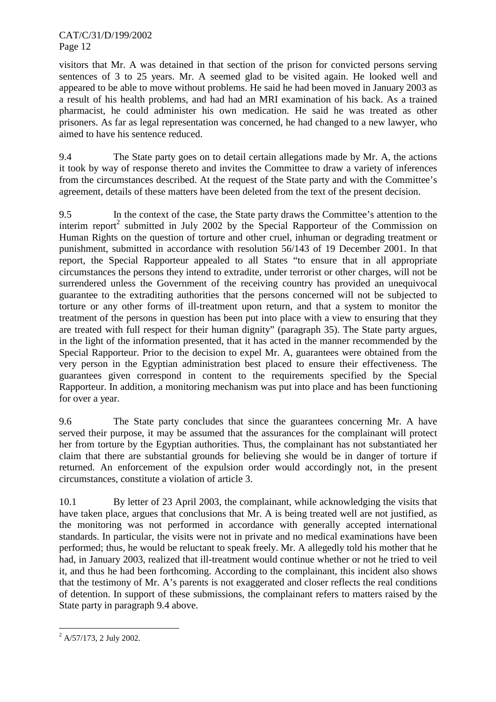visitors that Mr. A was detained in that section of the prison for convicted persons serving sentences of 3 to 25 years. Mr. A seemed glad to be visited again. He looked well and appeared to be able to move without problems. He said he had been moved in January 2003 as a result of his health problems, and had had an MRI examination of his back. As a trained pharmacist, he could administer his own medication. He said he was treated as other prisoners. As far as legal representation was concerned, he had changed to a new lawyer, who aimed to have his sentence reduced.

9.4 The State party goes on to detail certain allegations made by Mr. A, the actions it took by way of response thereto and invites the Committee to draw a variety of inferences from the circumstances described. At the request of the State party and with the Committee's agreement, details of these matters have been deleted from the text of the present decision.

9.5 In the context of the case, the State party draws the Committee's attention to the interim report<sup>2</sup> submitted in July 2002 by the Special Rapporteur of the Commission on Human Rights on the question of torture and other cruel, inhuman or degrading treatment or punishment, submitted in accordance with resolution 56/143 of 19 December 2001. In that report, the Special Rapporteur appealed to all States "to ensure that in all appropriate circumstances the persons they intend to extradite, under terrorist or other charges, will not be surrendered unless the Government of the receiving country has provided an unequivocal guarantee to the extraditing authorities that the persons concerned will not be subjected to torture or any other forms of ill-treatment upon return, and that a system to monitor the treatment of the persons in question has been put into place with a view to ensuring that they are treated with full respect for their human dignity" (paragraph 35). The State party argues, in the light of the information presented, that it has acted in the manner recommended by the Special Rapporteur. Prior to the decision to expel Mr. A, guarantees were obtained from the very person in the Egyptian administration best placed to ensure their effectiveness. The guarantees given correspond in content to the requirements specified by the Special Rapporteur. In addition, a monitoring mechanism was put into place and has been functioning for over a year.

9.6 The State party concludes that since the guarantees concerning Mr. A have served their purpose, it may be assumed that the assurances for the complainant will protect her from torture by the Egyptian authorities. Thus, the complainant has not substantiated her claim that there are substantial grounds for believing she would be in danger of torture if returned. An enforcement of the expulsion order would accordingly not, in the present circumstances, constitute a violation of article 3.

10.1 By letter of 23 April 2003, the complainant, while acknowledging the visits that have taken place, argues that conclusions that Mr. A is being treated well are not justified, as the monitoring was not performed in accordance with generally accepted international standards. In particular, the visits were not in private and no medical examinations have been performed; thus, he would be reluctant to speak freely. Mr. A allegedly told his mother that he had, in January 2003, realized that ill-treatment would continue whether or not he tried to veil it, and thus he had been forthcoming. According to the complainant, this incident also shows that the testimony of Mr. A's parents is not exaggerated and closer reflects the real conditions of detention. In support of these submissions, the complainant refers to matters raised by the State party in paragraph 9.4 above.

 $\overline{a}$  $^{2}$  A/57/173, 2 July 2002.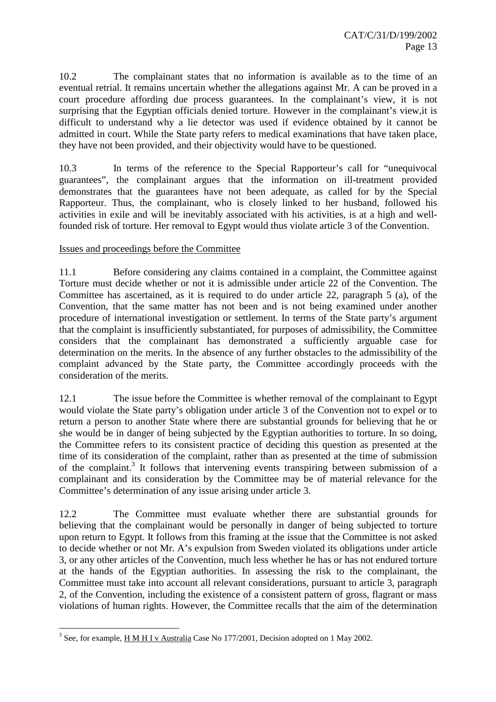10.2 The complainant states that no information is available as to the time of an eventual retrial. It remains uncertain whether the allegations against Mr. A can be proved in a court procedure affording due process guarantees. In the complainant's view, it is not surprising that the Egyptian officials denied torture. However in the complainant's view,it is difficult to understand why a lie detector was used if evidence obtained by it cannot be admitted in court. While the State party refers to medical examinations that have taken place, they have not been provided, and their objectivity would have to be questioned.

10.3 In terms of the reference to the Special Rapporteur's call for "unequivocal guarantees", the complainant argues that the information on ill-treatment provided demonstrates that the guarantees have not been adequate, as called for by the Special Rapporteur. Thus, the complainant, who is closely linked to her husband, followed his activities in exile and will be inevitably associated with his activities, is at a high and wellfounded risk of torture. Her removal to Egypt would thus violate article 3 of the Convention.

## Issues and proceedings before the Committee

11.1 Before considering any claims contained in a complaint, the Committee against Torture must decide whether or not it is admissible under article 22 of the Convention. The Committee has ascertained, as it is required to do under article 22, paragraph 5 (a), of the Convention, that the same matter has not been and is not being examined under another procedure of international investigation or settlement. In terms of the State party's argument that the complaint is insufficiently substantiated, for purposes of admissibility, the Committee considers that the complainant has demonstrated a sufficiently arguable case for determination on the merits. In the absence of any further obstacles to the admissibility of the complaint advanced by the State party, the Committee accordingly proceeds with the consideration of the merits.

12.1 The issue before the Committee is whether removal of the complainant to Egypt would violate the State party's obligation under article 3 of the Convention not to expel or to return a person to another State where there are substantial grounds for believing that he or she would be in danger of being subjected by the Egyptian authorities to torture. In so doing, the Committee refers to its consistent practice of deciding this question as presented at the time of its consideration of the complaint, rather than as presented at the time of submission of the complaint.<sup>3</sup> It follows that intervening events transpiring between submission of a complainant and its consideration by the Committee may be of material relevance for the Committee's determination of any issue arising under article 3.

12.2 The Committee must evaluate whether there are substantial grounds for believing that the complainant would be personally in danger of being subjected to torture upon return to Egypt. It follows from this framing at the issue that the Committee is not asked to decide whether or not Mr. A's expulsion from Sweden violated its obligations under article 3, or any other articles of the Convention, much less whether he has or has not endured torture at the hands of the Egyptian authorities. In assessing the risk to the complainant, the Committee must take into account all relevant considerations, pursuant to article 3, paragraph 2, of the Convention, including the existence of a consistent pattern of gross, flagrant or mass violations of human rights. However, the Committee recalls that the aim of the determination

 $\overline{a}$ 

<sup>&</sup>lt;sup>3</sup> See, for example,  $\underline{H}\underline{M}\underline{H}\underline{I}\underline{v}$  Australia Case No 177/2001, Decision adopted on 1 May 2002.